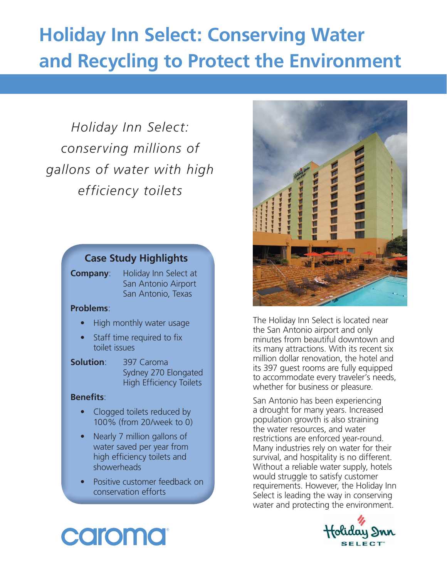## **Holiday Inn Select: Conserving Water and Recycling to Protect the Environment**

*Holiday Inn Select: conserving millions of gallons of water with high efficiency toilets*

## **Case Study Highlights**

**Company**: Holiday Inn Select at San Antonio Airport San Antonio, Texas

#### **Problems**:

- High monthly water usage
- Staff time required to fix toilet issues

## **Solution**: 397 Caroma

 Sydney 270 Elongated High Efficiency Toilets

#### **Benefits:**

- Clogged toilets reduced by 100% (from 20/week to 0)
- Nearly 7 million gallons of water saved per year from high efficiency toilets and showerheads
- Positive customer feedback on conservation efforts



The Holiday Inn Select is located near the San Antonio airport and only minutes from beautiful downtown and its many attractions. With its recent six million dollar renovation, the hotel and its 397 guest rooms are fully equipped to accommodate every traveler's needs, whether for business or pleasure.

San Antonio has been experiencing a drought for many years. Increased population growth is also straining the water resources, and water restrictions are enforced year-round. Many industries rely on water for their survival, and hospitality is no different. Without a reliable water supply, hotels would struggle to satisfy customer requirements. However, the Holiday Inn Select is leading the way in conserving water and protecting the environment.

# caroma

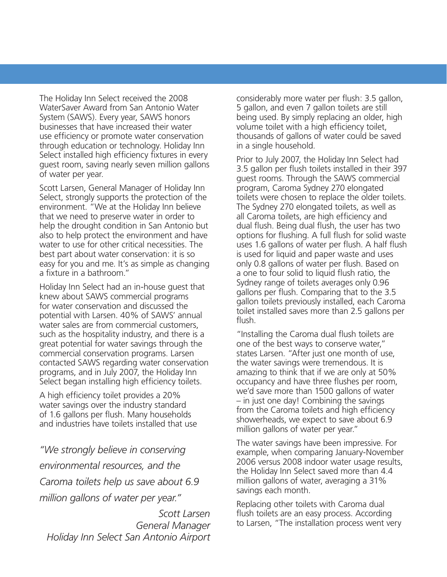The Holiday Inn Select received the 2008 WaterSaver Award from San Antonio Water System (SAWS). Every year, SAWS honors businesses that have increased their water use efficiency or promote water conservation through education or technology. Holiday Inn Select installed high efficiency fixtures in every guest room, saving nearly seven million gallons of water per year.

Scott Larsen, General Manager of Holiday Inn Select, strongly supports the protection of the environment. "We at the Holiday Inn believe that we need to preserve water in order to help the drought condition in San Antonio but also to help protect the environment and have water to use for other critical necessities. The best part about water conservation: it is so easy for you and me. It's as simple as changing a fixture in a bathroom."

Holiday Inn Select had an in-house guest that knew about SAWS commercial programs for water conservation and discussed the potential with Larsen. 40% of SAWS' annual water sales are from commercial customers, such as the hospitality industry, and there is a great potential for water savings through the commercial conservation programs. Larsen contacted SAWS regarding water conservation programs, and in July 2007, the Holiday Inn Select began installing high efficiency toilets.

A high efficiency toilet provides a 20% water savings over the industry standard of 1.6 gallons per flush. Many households and industries have toilets installed that use

*"We strongly believe in conserving environmental resources, and the Caroma toilets help us save about 6.9 million gallons of water per year."*

*Scott Larsen General Manager Holiday Inn Select San Antonio Airport*

considerably more water per flush: 3.5 gallon, 5 gallon, and even 7 gallon toilets are still being used. By simply replacing an older, high volume toilet with a high efficiency toilet, thousands of gallons of water could be saved in a single household.

Prior to July 2007, the Holiday Inn Select had 3.5 gallon per flush toilets installed in their 397 guest rooms. Through the SAWS commercial program, Caroma Sydney 270 elongated toilets were chosen to replace the older toilets. The Sydney 270 elongated toilets, as well as all Caroma toilets, are high efficiency and dual flush. Being dual flush, the user has two options for flushing. A full flush for solid waste uses 1.6 gallons of water per flush. A half flush is used for liquid and paper waste and uses only 0.8 gallons of water per flush. Based on a one to four solid to liquid flush ratio, the Sydney range of toilets averages only 0.96 gallons per flush. Comparing that to the 3.5 gallon toilets previously installed, each Caroma toilet installed saves more than 2.5 gallons per flush.

"Installing the Caroma dual flush toilets are one of the best ways to conserve water," states Larsen. "After just one month of use, the water savings were tremendous. It is amazing to think that if we are only at 50% occupancy and have three flushes per room, we'd save more than 1500 gallons of water – in just one day! Combining the savings from the Caroma toilets and high efficiency showerheads, we expect to save about 6.9 million gallons of water per year."

The water savings have been impressive. For example, when comparing January-November 2006 versus 2008 indoor water usage results, the Holiday Inn Select saved more than 4.4 million gallons of water, averaging a 31% savings each month.

Replacing other toilets with Caroma dual flush toilets are an easy process. According to Larsen, "The installation process went very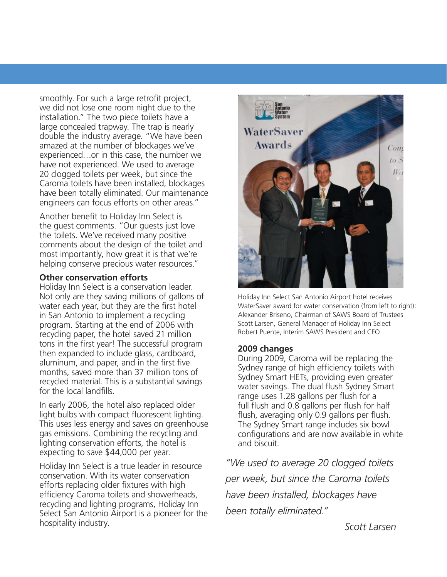smoothly. For such a large retrofit project, we did not lose one room night due to the installation." The two piece toilets have a large concealed trapway. The trap is nearly double the industry average. "We have been amazed at the number of blockages we've experienced…or in this case, the number we have not experienced. We used to average 20 clogged toilets per week, but since the Caroma toilets have been installed, blockages have been totally eliminated. Our maintenance engineers can focus efforts on other areas."

Another benefit to Holiday Inn Select is the guest comments. "Our guests just love the toilets. We've received many positive comments about the design of the toilet and most importantly, how great it is that we're helping conserve precious water resources."

#### **Other conservation efforts**

Holiday Inn Select is a conservation leader. Not only are they saving millions of gallons of water each year, but they are the first hotel in San Antonio to implement a recycling program. Starting at the end of 2006 with recycling paper, the hotel saved 21 million tons in the first year! The successful program then expanded to include glass, cardboard, aluminum, and paper, and in the first five months, saved more than 37 million tons of recycled material. This is a substantial savings for the local landfills.

In early 2006, the hotel also replaced older light bulbs with compact fluorescent lighting. This uses less energy and saves on greenhouse gas emissions. Combining the recycling and lighting conservation efforts, the hotel is expecting to save \$44,000 per year.

Holiday Inn Select is a true leader in resource conservation. With its water conservation efforts replacing older fixtures with high efficiency Caroma toilets and showerheads, recycling and lighting programs, Holiday Inn Select San Antonio Airport is a pioneer for the hospitality industry.



Holiday Inn Select San Antonio Airport hotel receives WaterSaver award for water conservation (from left to right): Alexander Briseno, Chairman of SAWS Board of Trustees Scott Larsen, General Manager of Holiday Inn Select Robert Puente, Interim SAWS President and CEO

#### **2009 changes**

During 2009, Caroma will be replacing the Sydney range of high efficiency toilets with Sydney Smart HETs, providing even greater water savings. The dual flush Sydney Smart range uses 1.28 gallons per flush for a full flush and 0.8 gallons per flush for half flush, averaging only 0.9 gallons per flush. The Sydney Smart range includes six bowl configurations and are now available in white and biscuit.

*"We used to average 20 clogged toilets per week, but since the Caroma toilets have been installed, blockages have been totally eliminated."*

*Scott Larsen*